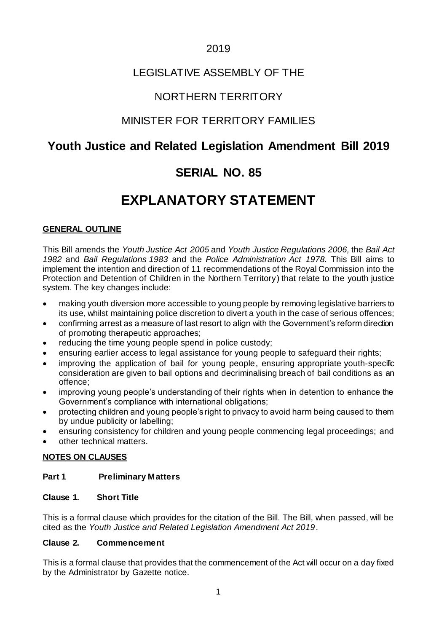# 2019

# LEGISLATIVE ASSEMBLY OF THE

# NORTHERN TERRITORY

# MINISTER FOR TERRITORY FAMILIES

# **Youth Justice and Related Legislation Amendment Bill 2019**

# **SERIAL NO. 85**

# **EXPLANATORY STATEMENT**

#### **GENERAL OUTLINE**

This Bill amends the *Youth Justice Act 2005* and *Youth Justice Regulations 2006,* the *Bail Act 1982* and *Bail Regulations 1983* and the *Police Administration Act 1978.* This Bill aims to implement the intention and direction of 11 recommendations of the Royal Commission into the Protection and Detention of Children in the Northern Territory) that relate to the youth justice system. The key changes include:

- making youth diversion more accessible to young people by removing legislative barriers to its use, whilst maintaining police discretion to divert a youth in the case of serious offences;
- confirming arrest as a measure of last resort to align with the Government's reform direction of promoting therapeutic approaches;
- reducing the time young people spend in police custody;
- ensuring earlier access to legal assistance for young people to safeguard their rights;
- improving the application of bail for young people, ensuring appropriate youth-specific consideration are given to bail options and decriminalising breach of bail conditions as an offence;
- improving young people's understanding of their rights when in detention to enhance the Government's compliance with international obligations;
- protecting children and young people's right to privacy to avoid harm being caused to them by undue publicity or labelling;
- ensuring consistency for children and young people commencing legal proceedings; and
- other technical matters.

#### **NOTES ON CLAUSES**

#### **Part 1 Preliminary Matters**

#### **Clause 1. Short Title**

This is a formal clause which provides for the citation of the Bill. The Bill, when passed, will be cited as the *Youth Justice and Related Legislation Amendment Act 2019*.

#### **Clause 2. Commencement**

This is a formal clause that provides that the commencement of the Act will occur on a day fixed by the Administrator by Gazette notice.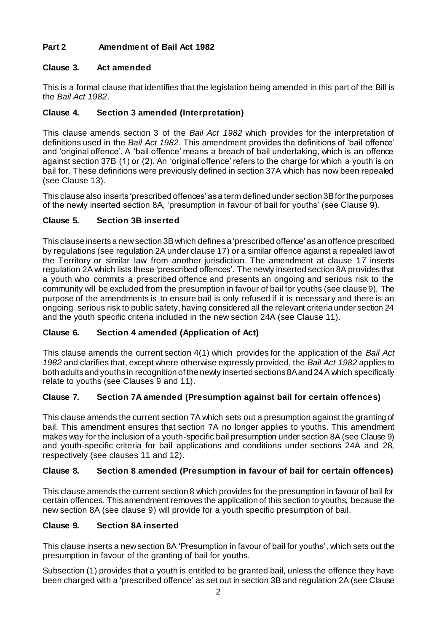# **Part 2 Amendment of Bail Act 1982**

# **Clause 3. Act amended**

This is a formal clause that identifies that the legislation being amended in this part of the Bill is the *Bail Act 1982*.

# **Clause 4. Section 3 amended (Interpretation)**

This clause amends section 3 of the *Bail Act 1982* which provides for the interpretation of definitions used in the *Bail Act 1982*. This amendment provides the definitions of 'bail offence' and 'original offence'. A 'bail offence' means a breach of bail undertaking, which is an offence against section 37B (1) or (2). An 'original offence' refers to the charge for which a youth is on bail for. These definitions were previously defined in section 37A which has now been repealed (see Clause 13).

This clause also inserts 'prescribed offences' as a term defined under section 3B for the purposes of the newly inserted section 8A, 'presumption in favour of bail for youths' (see Clause 9).

# **Clause 5. Section 3B inserted**

This clause inserts a new section 3B which defines a 'prescribed offence' as an offence prescribed by regulations (see regulation 2A under clause 17) or a similar offence against a repealed law of the Territory or similar law from another jurisdiction. The amendment at clause 17 inserts regulation 2A which lists these 'prescribed offences'. The newly inserted section 8A provides that a youth who commits a prescribed offence and presents an ongoing and serious risk to the community will be excluded from the presumption in favour of bail for youths (see clause 9). The purpose of the amendments is to ensure bail is only refused if it is necessar y and there is an ongoing serious risk to public safety, having considered all the relevant criteria under section 24 and the youth specific criteria included in the new section 24A (see Clause 11).

# **Clause 6. Section 4 amended (Application of Act)**

This clause amends the current section 4(1) which provides for the application of the *Bail Act 1982* and clarifies that, except where otherwise expressly provided, the *Bail Act 1982* applies to both adults and youths in recognition of the newly inserted sections 8A and 24A which specifically relate to youths (see Clauses 9 and 11).

# **Clause 7. Section 7A amended (Presumption against bail for certain offences)**

This clause amends the current section 7A which sets out a presumption against the granting of bail. This amendment ensures that section 7A no longer applies to youths. This amendment makes way for the inclusion of a youth-specific bail presumption under section 8A (see Clause 9) and youth-specific criteria for bail applications and conditions under sections 24A and 28, respectively (see clauses 11 and 12).

# **Clause 8. Section 8 amended (Presumption in favour of bail for certain offences)**

This clause amends the current section 8 which provides for the presumption in favour of bail for certain offences. This amendment removes the application of this section to youths, because the new section 8A (see clause 9) will provide for a youth specific presumption of bail.

# **Clause 9. Section 8A inserted**

This clause inserts a new section 8A 'Presumption in favour of bail for youths', which sets out the presumption in favour of the granting of bail for youths.

Subsection (1) provides that a youth is entitled to be granted bail, unless the offence they have been charged with a 'prescribed offence' as set out in section 3B and regulation 2A (see Clause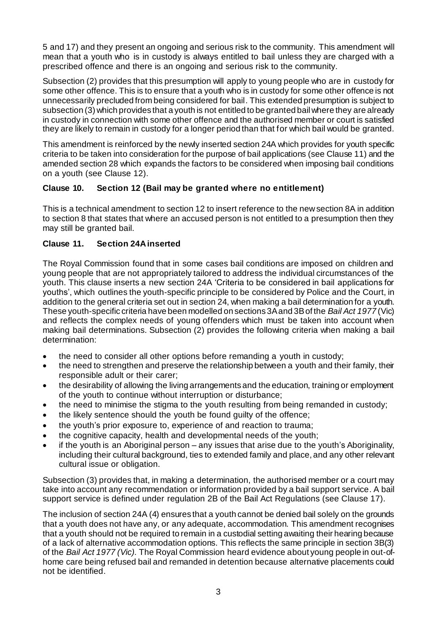5 and 17) and they present an ongoing and serious risk to the community. This amendment will mean that a youth who is in custody is always entitled to bail unless they are charged with a prescribed offence and there is an ongoing and serious risk to the community.

Subsection (2) provides that this presumption will apply to young people who are in custody for some other offence. This is to ensure that a youth who is in custody for some other offence is not unnecessarily precluded from being considered for bail. This extended presumption is subject to subsection (3) which provides that a youth is not entitled to be granted bail where they are already in custody in connection with some other offence and the authorised member or court is satisfied they are likely to remain in custody for a longer period than that for which bail would be granted.

This amendment is reinforced by the newly inserted section 24A which provides for youth specific criteria to be taken into consideration for the purpose of bail applications (see Clause 11) and the amended section 28 which expands the factors to be considered when imposing bail conditions on a youth (see Clause 12).

## **Clause 10. Section 12 (Bail may be granted where no entitlement)**

This is a technical amendment to section 12 to insert reference to the new section 8A in addition to section 8 that states that where an accused person is not entitled to a presumption then they may still be granted bail.

# **Clause 11. Section 24A inserted**

The Royal Commission found that in some cases bail conditions are imposed on children and young people that are not appropriately tailored to address the individual circumstances of the youth. This clause inserts a new section 24A 'Criteria to be considered in bail applications for youths', which outlines the youth-specific principle to be considered by Police and the Court, in addition to the general criteria set out in section 24, when making a bail determination for a youth. These youth-specific criteria have been modelled on sections 3A and 3B of the *Bail Act 1977* (Vic) and reflects the complex needs of young offenders which must be taken into account when making bail determinations. Subsection (2) provides the following criteria when making a bail determination:

- the need to consider all other options before remanding a youth in custody;
- the need to strengthen and preserve the relationship between a youth and their family, their responsible adult or their carer;
- the desirability of allowing the living arrangements and the education, training or employment of the youth to continue without interruption or disturbance;
- the need to minimise the stigma to the youth resulting from being remanded in custody;
- the likely sentence should the youth be found guilty of the offence;
- the youth's prior exposure to, experience of and reaction to trauma;
- the cognitive capacity, health and developmental needs of the youth;
- if the youth is an Aboriginal person any issues that arise due to the youth's Aboriginality, including their cultural background, ties to extended family and place, and any other relevant cultural issue or obligation.

Subsection (3) provides that, in making a determination, the authorised member or a court may take into account any recommendation or information provided by a bail support service. A bail support service is defined under regulation 2B of the Bail Act Regulations (see Clause 17).

The inclusion of section 24A (4) ensures that a youth cannot be denied bail solely on the grounds that a youth does not have any, or any adequate, accommodation. This amendment recognises that a youth should not be required to remain in a custodial setting awaiting their hearing because of a lack of alternative accommodation options. This reflects the same principle in section 3B(3) of the *Bail Act 1977 (Vic).* The Royal Commission heard evidence about young people in out-ofhome care being refused bail and remanded in detention because alternative placements could not be identified.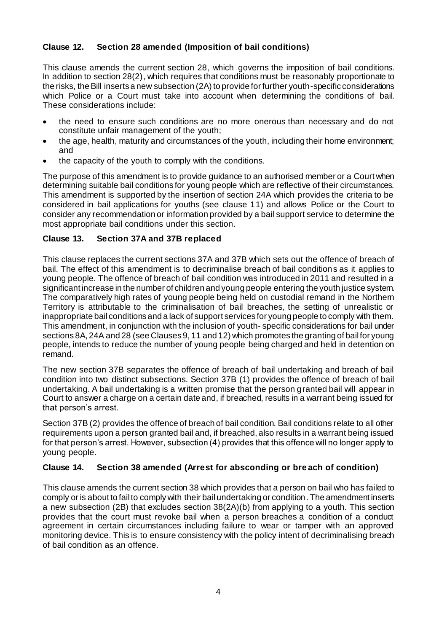## **Clause 12. Section 28 amended (Imposition of bail conditions)**

This clause amends the current section 28, which governs the imposition of bail conditions. In addition to section 28(2), which requires that conditions must be reasonably proportionate to the risks, the Bill inserts a new subsection (2A) to provide for further youth-specific considerations which Police or a Court must take into account when determining the conditions of bail. These considerations include:

- the need to ensure such conditions are no more onerous than necessary and do not constitute unfair management of the youth;
- the age, health, maturity and circumstances of the youth, including their home environment; and
- the capacity of the youth to comply with the conditions.

The purpose of this amendment is to provide guidance to an authorised member or a Court when determining suitable bail conditions for young people which are reflective of their circumstances. This amendment is supported by the insertion of section 24A which provides the criteria to be considered in bail applications for youths (see clause 11) and allows Police or the Court to consider any recommendation or information provided by a bail support service to determine the most appropriate bail conditions under this section.

## **Clause 13. Section 37A and 37B replaced**

This clause replaces the current sections 37A and 37B which sets out the offence of breach of bail. The effect of this amendment is to decriminalise breach of bail conditions as it applies to young people. The offence of breach of bail condition was introduced in 2011 and resulted in a significant increase in the number of children and young people entering the youth justice system. The comparatively high rates of young people being held on custodial remand in the Northern Territory is attributable to the criminalisation of bail breaches, the setting of unrealistic or inappropriate bail conditions and a lack of support services for young people to comply with them. This amendment, in conjunction with the inclusion of youth- specific considerations for bail under sections 8A, 24A and 28 (see Clauses 9, 11 and 12) which promotes the granting of bail for young people, intends to reduce the number of young people being charged and held in detention on remand.

The new section 37B separates the offence of breach of bail undertaking and breach of bail condition into two distinct subsections. Section 37B (1) provides the offence of breach of bail undertaking. A bail undertaking is a written promise that the person granted bail will appear in Court to answer a charge on a certain date and, if breached, results in a warrant being issued for that person's arrest.

Section 37B (2) provides the offence of breach of bail condition. Bail conditions relate to all other requirements upon a person granted bail and, if breached, also results in a warrant being issued for that person's arrest. However, subsection (4) provides that this offence will no longer apply to young people.

#### **Clause 14. Section 38 amended (Arrest for absconding or bre ach of condition)**

This clause amends the current section 38 which provides that a person on bail who has failed to comply or is about to fail to comply with their bail undertaking or condition. The amendment inserts a new subsection (2B) that excludes section 38(2A)(b) from applying to a youth. This section provides that the court must revoke bail when a person breaches a condition of a conduct agreement in certain circumstances including failure to wear or tamper with an approved monitoring device. This is to ensure consistency with the policy intent of decriminalising breach of bail condition as an offence.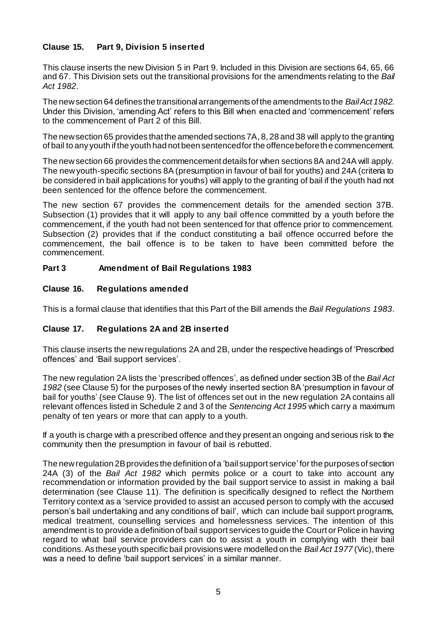#### **Clause 15. Part 9, Division 5 inserted**

This clause inserts the new Division 5 in Part 9. Included in this Division are sections 64, 65, 66 and 67. This Division sets out the transitional provisions for the amendments relating to the *Bail Act 1982*.

The new section 64 defines the transitional arrangements of the amendments to the *Bail Act 1982*. Under this Division, 'amending Act' refers to this Bill when enacted and 'commencement' refers to the commencement of Part 2 of this Bill.

The new section 65 provides that the amended sections 7A, 8, 28 and 38 will apply to the granting of bail to any youth if the youth had not been sentenced for the offence before the commencement.

The new section 66 provides the commencement details for when sections 8A and 24A will apply. The new youth-specific sections 8A (presumption in favour of bail for youths) and 24A (criteria to be considered in bail applications for youths) will apply to the granting of bail if the youth had not been sentenced for the offence before the commencement.

The new section 67 provides the commencement details for the amended section 37B. Subsection (1) provides that it will apply to any bail offence committed by a youth before the commencement, if the youth had not been sentenced for that offence prior to commencement. Subsection (2) provides that if the conduct constituting a bail offence occurred before the commencement, the bail offence is to be taken to have been committed before the commencement.

#### **Part 3 Amendment of Bail Regulations 1983**

#### **Clause 16. Regulations amended**

This is a formal clause that identifies that this Part of the Bill amends the *Bail Regulations 1983*.

#### **Clause 17. Regulations 2A and 2B inserted**

This clause inserts the new regulations 2A and 2B, under the respective headings of 'Prescribed offences' and 'Bail support services'.

The new regulation 2A lists the 'prescribed offences', as defined under section 3B of the *Bail Act 1982* (see Clause 5) for the purposes of the newly inserted section 8A 'presumption in favour of bail for youths' (see Clause 9). The list of offences set out in the new regulation 2A contains all relevant offences listed in Schedule 2 and 3 of the *Sentencing Act 1995* which carry a maximum penalty of ten years or more that can apply to a youth.

If a youth is charge with a prescribed offence and they present an ongoing and serious risk to the community then the presumption in favour of bail is rebutted.

The new regulation 2B provides the definition of a 'bail support service' for the purposes of section 24A (3) of the *Bail Act 1982* which permits police or a court to take into account any recommendation or information provided by the bail support service to assist in making a bail determination (see Clause 11). The definition is specifically designed to reflect the Northern Territory context as a 'service provided to assist an accused person to comply with the accused person's bail undertaking and any conditions of bail', which can include bail support programs, medical treatment, counselling services and homelessness services. The intention of this amendment is to provide a definition of bail support services to guide the Court or Police in having regard to what bail service providers can do to assist a youth in complying with their bail conditions. As these youth specific bail provisions were modelled on the *Bail Act 1977* (Vic), there was a need to define 'bail support services' in a similar manner.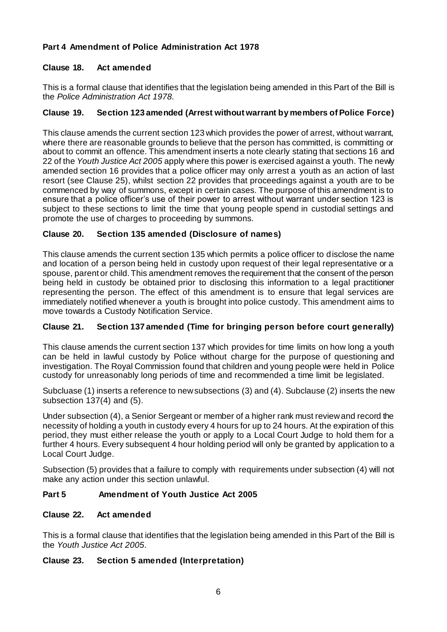# **Part 4 Amendment of Police Administration Act 1978**

#### **Clause 18. Act amended**

This is a formal clause that identifies that the legislation being amended in this Part of the Bill is the *Police Administration Act 1978.* 

#### **Clause 19. Section 123 amended (Arrest without warrant by members of Police Force)**

This clause amends the current section 123 which provides the power of arrest, without warrant, where there are reasonable grounds to believe that the person has committed, is committing or about to commit an offence. This amendment inserts a note clearly stating that sections 16 and 22 of the *Youth Justice Act 2005* apply where this power is exercised against a youth. The newly amended section 16 provides that a police officer may only arrest a youth as an action of last resort (see Clause 25), whilst section 22 provides that proceedings against a youth are to be commenced by way of summons, except in certain cases. The purpose of this amendment is to ensure that a police officer's use of their power to arrest without warrant under section 123 is subject to these sections to limit the time that young people spend in custodial settings and promote the use of charges to proceeding by summons.

## **Clause 20. Section 135 amended (Disclosure of names)**

This clause amends the current section 135 which permits a police officer to disclose the name and location of a person being held in custody upon request of their legal representative or a spouse, parent or child. This amendment removes the requirement that the consent of the person being held in custody be obtained prior to disclosing this information to a legal practitioner representing the person. The effect of this amendment is to ensure that legal services are immediately notified whenever a youth is brought into police custody. This amendment aims to move towards a Custody Notification Service.

# **Clause 21. Section 137 amended (Time for bringing person before court generally)**

This clause amends the current section 137 which provides for time limits on how long a youth can be held in lawful custody by Police without charge for the purpose of questioning and investigation. The Royal Commission found that children and young people were held in Police custody for unreasonably long periods of time and recommended a time limit be legislated.

Subcluase (1) inserts a reference to new subsections (3) and (4). Subclause (2) inserts the new subsection 137(4) and (5).

Under subsection (4), a Senior Sergeant or member of a higher rank must review and record the necessity of holding a youth in custody every 4 hours for up to 24 hours. At the expiration of this period, they must either release the youth or apply to a Local Court Judge to hold them for a further 4 hours. Every subsequent 4 hour holding period will only be granted by application to a Local Court Judge.

Subsection (5) provides that a failure to comply with requirements under subsection (4) will not make any action under this section unlawful.

#### **Part 5 Amendment of Youth Justice Act 2005**

#### **Clause 22. Act amended**

This is a formal clause that identifies that the legislation being amended in this Part of the Bill is the *Youth Justice Act 2005*.

#### **Clause 23. Section 5 amended (Interpretation)**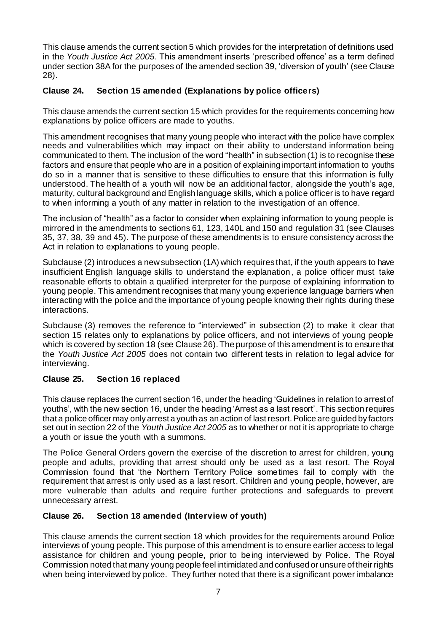This clause amends the current section 5 which provides for the interpretation of definitions used in the *Youth Justice Act 2005*. This amendment inserts 'prescribed offence' as a term defined under section 38A for the purposes of the amended section 39, 'diversion of youth' (see Clause 28).

## **Clause 24. Section 15 amended (Explanations by police officers)**

This clause amends the current section 15 which provides for the requirements concerning how explanations by police officers are made to youths.

This amendment recognises that many young people who interact with the police have complex needs and vulnerabilities which may impact on their ability to understand information being communicated to them. The inclusion of the word "health" in subsection (1) is to recognise these factors and ensure that people who are in a position of explaining important information to youths do so in a manner that is sensitive to these difficulties to ensure that this information is fully understood. The health of a youth will now be an additional factor, alongside the youth's age, maturity, cultural background and English language skills, which a police officer is to have regard to when informing a youth of any matter in relation to the investigation of an offence.

The inclusion of "health" as a factor to consider when explaining information to young people is mirrored in the amendments to sections 61, 123, 140L and 150 and regulation 31 (see Clauses 35, 37, 38, 39 and 45). The purpose of these amendments is to ensure consistency across the Act in relation to explanations to young people.

Subclause (2) introduces a new subsection (1A) which requires that, if the youth appears to have insufficient English language skills to understand the explanation, a police officer must take reasonable efforts to obtain a qualified interpreter for the purpose of explaining information to young people. This amendment recognises that many young experience language barriers when interacting with the police and the importance of young people knowing their rights during these interactions.

Subclause (3) removes the reference to "interviewed" in subsection (2) to make it clear that section 15 relates only to explanations by police officers, and not interviews of young people which is covered by section 18 (see Clause 26). The purpose of this amendment is to ensure that the *Youth Justice Act 2005* does not contain two different tests in relation to legal advice for interviewing.

#### **Clause 25. Section 16 replaced**

This clause replaces the current section 16, under the heading 'Guidelines in relation to arrest of youths', with the new section 16, under the heading 'Arrest as a last resort'. This section requires that a police officer may only arrest a youth as an action of last resort. Police are guided by factors set out in section 22 of the *Youth Justice Act 2005* as to whether or not it is appropriate to charge a youth or issue the youth with a summons.

The Police General Orders govern the exercise of the discretion to arrest for children, young people and adults, providing that arrest should only be used as a last resort. The Royal Commission found that 'the Northern Territory Police sometimes fail to comply with the requirement that arrest is only used as a last resort. Children and young people, however, are more vulnerable than adults and require further protections and safeguards to prevent unnecessary arrest.

#### **Clause 26. Section 18 amended (Interview of youth)**

This clause amends the current section 18 which provides for the requirements around Police interviews of young people. This purpose of this amendment is to ensure earlier access to legal assistance for children and young people, prior to being interviewed by Police. The Royal Commission noted that many young people feel intimidated and confused or unsure of their rights when being interviewed by police. They further noted that there is a significant power imbalance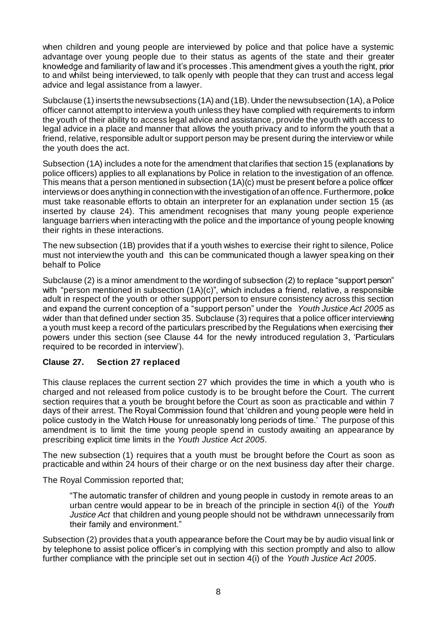when children and young people are interviewed by police and that police have a systemic advantage over young people due to their status as agents of the state and their greater knowledge and familiarity of law and it's processes .This amendment gives a youth the right, prior to and whilst being interviewed, to talk openly with people that they can trust and access legal advice and legal assistance from a lawyer.

Subclause (1) inserts the new subsections (1A) and (1B). Under the new subsection (1A), a Police officer cannot attempt to interview a youth unless they have complied with requirements to inform the youth of their ability to access legal advice and assistance, provide the youth with access to legal advice in a place and manner that allows the youth privacy and to inform the youth that a friend, relative, responsible adult or support person may be present during the interview or while the youth does the act.

Subsection (1A) includes a note for the amendment that clarifies that section 15 (explanations by police officers) applies to all explanations by Police in relation to the investigation of an offence. This means that a person mentioned in subsection (1A)(c) must be present before a police officer interviews or does anything in connection with the investigation of an offence. Furthermore, police must take reasonable efforts to obtain an interpreter for an explanation under section 15 (as inserted by clause 24). This amendment recognises that many young people experience language barriers when interacting with the police and the importance of young people knowing their rights in these interactions.

The new subsection (1B) provides that if a youth wishes to exercise their right to silence, Police must not interview the youth and this can be communicated though a lawyer speaking on their behalf to Police

Subclause (2) is a minor amendment to the wording of subsection (2) to replace "support person" with "person mentioned in subsection (1A)(c)", which includes a friend, relative, a responsible adult in respect of the youth or other support person to ensure consistency across this section and expand the current conception of a "support person" under the *Youth Justice Act 2005* as wider than that defined under section 35. Subclause (3) requires that a police officer interviewing a youth must keep a record of the particulars prescribed by the Regulations when exercising their powers under this section (see Clause 44 for the newly introduced regulation 3, 'Particulars required to be recorded in interview').

#### **Clause 27. Section 27 replaced**

This clause replaces the current section 27 which provides the time in which a youth who is charged and not released from police custody is to be brought before the Court. The current section requires that a youth be brought before the Court as soon as practicable and within 7 days of their arrest. The Royal Commission found that 'children and young people were held in police custody in the Watch House for unreasonably long periods of time.' The purpose of this amendment is to limit the time young people spend in custody awaiting an appearance by prescribing explicit time limits in the *Youth Justice Act 2005*.

The new subsection (1) requires that a youth must be brought before the Court as soon as practicable and within 24 hours of their charge or on the next business day after their charge.

The Royal Commission reported that;

"The automatic transfer of children and young people in custody in remote areas to an urban centre would appear to be in breach of the principle in section 4(i) of the *Youth Justice Act* that children and young people should not be withdrawn unnecessarily from their family and environment."

Subsection (2) provides that a youth appearance before the Court may be by audio visual link or by telephone to assist police officer's in complying with this section promptly and also to allow further compliance with the principle set out in section 4(i) of the *Youth Justice Act 2005*.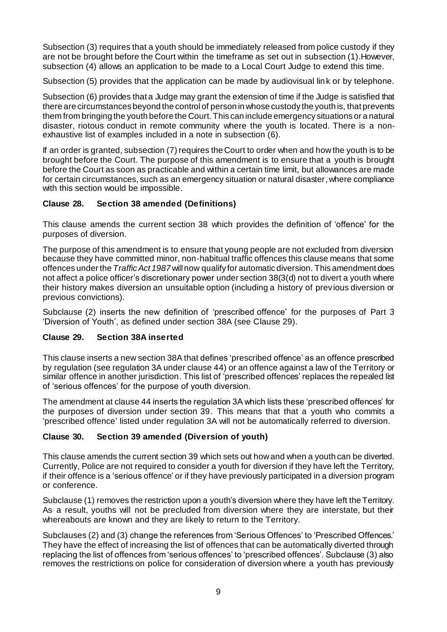Subsection (3) requires that a youth should be immediately released from police custody if they are not be brought before the Court within the timeframe as set out in subsection (1).However, subsection (4) allows an application to be made to a Local Court Judge to extend this time.

Subsection (5) provides that the application can be made by audiovisual link or by telephone.

Subsection (6) provides that a Judge may grant the extension of time if the Judge is satisfied that there are circumstances beyond the control of person in whose custody the youth is, that prevents them from bringing the youth before the Court.This can include emergency situations or a natural disaster, riotous conduct in remote community where the youth is located. There is a nonexhaustive list of examples included in a note in subsection (6).

If an order is granted, subsection (7) requires the Court to order when and how the youth is to be brought before the Court. The purpose of this amendment is to ensure that a youth is brought before the Court as soon as practicable and within a certain time limit, but allowances are made for certain circumstances, such as an emergency situation or natural disaster, where compliance with this section would be impossible.

#### **Clause 28. Section 38 amended (Definitions)**

This clause amends the current section 38 which provides the definition of 'offence' for the purposes of diversion.

The purpose of this amendment is to ensure that young people are not excluded from diversion because they have committed minor, non-habitual traffic offences this clause means that some offences under the *Traffic Act 1987* will now qualify for automatic diversion. This amendment does not affect a police officer's discretionary power under section 38(3(d) not to divert a youth where their history makes diversion an unsuitable option (including a history of previous diversion or previous convictions).

Subclause (2) inserts the new definition of 'prescribed offence' for the purposes of Part 3 'Diversion of Youth', as defined under section 38A (see Clause 29).

#### **Clause 29. Section 38A inserted**

This clause inserts a new section 38A that defines 'prescribed offence' as an offence prescribed by regulation (see regulation 3A under clause 44) or an offence against a law of the Territory or similar offence in another jurisdiction. This list of 'prescribed offences' replaces the repealed list of 'serious offences' for the purpose of youth diversion.

The amendment at clause 44 inserts the regulation 3A which lists these 'prescribed offences' for the purposes of diversion under section 39. This means that that a youth who commits a 'prescribed offence' listed under regulation 3A will not be automatically referred to diversion.

#### **Clause 30. Section 39 amended (Diversion of youth)**

This clause amends the current section 39 which sets out how and when a youth can be diverted. Currently, Police are not required to consider a youth for diversion if they have left the Territory, if their offence is a 'serious offence' or if they have previously participated in a diversion program or conference.

Subclause (1) removes the restriction upon a youth's diversion where they have left the Territory. As a result, youths will not be precluded from diversion where they are interstate, but their whereabouts are known and they are likely to return to the Territory.

Subclauses (2) and (3) change the references from 'Serious Offences' to 'Prescribed Offences.' They have the effect of increasing the list of offences that can be automatically diverted through replacing the list of offences from 'serious offences' to 'prescribed offences'. Subclause (3) also removes the restrictions on police for consideration of diversion where a youth has previously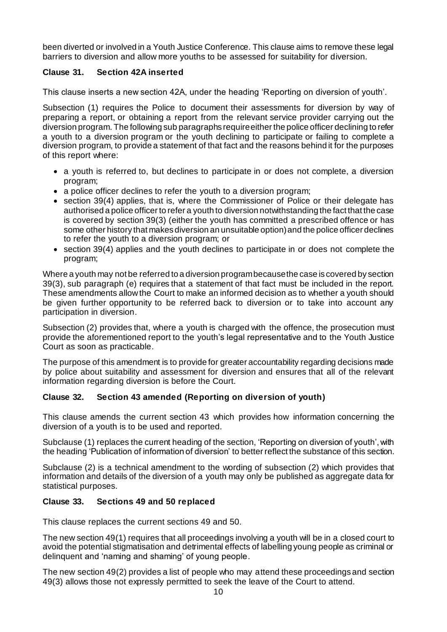been diverted or involved in a Youth Justice Conference. This clause aims to remove these legal barriers to diversion and allow more youths to be assessed for suitability for diversion.

# **Clause 31. Section 42A inserted**

This clause inserts a new section 42A, under the heading 'Reporting on diversion of youth'.

Subsection (1) requires the Police to document their assessments for diversion by way of preparing a report, or obtaining a report from the relevant service provider carrying out the diversion program. The following sub paragraphs require either the police officer declining to refer a youth to a diversion program or the youth declining to participate or failing to complete a diversion program, to provide a statement of that fact and the reasons behind it for the purposes of this report where:

- a youth is referred to, but declines to participate in or does not complete, a diversion program;
- a police officer declines to refer the youth to a diversion program;
- section 39(4) applies, that is, where the Commissioner of Police or their delegate has authorised a police officer to refer a youth to diversion notwithstanding the fact that the case is covered by section 39(3) (either the youth has committed a prescribed offence or has some other history that makes diversion an unsuitable option) and the police officer declines to refer the youth to a diversion program; or
- section 39(4) applies and the youth declines to participate in or does not complete the program;

Where a youth may not be referred to a diversion program because the case is covered by section 39(3), sub paragraph (e) requires that a statement of that fact must be included in the report. These amendments allow the Court to make an informed decision as to whether a youth should be given further opportunity to be referred back to diversion or to take into account any participation in diversion.

Subsection (2) provides that, where a youth is charged with the offence, the prosecution must provide the aforementioned report to the youth's legal representative and to the Youth Justice Court as soon as practicable.

The purpose of this amendment is to provide for greater accountability regarding decisions made by police about suitability and assessment for diversion and ensures that all of the relevant information regarding diversion is before the Court.

#### **Clause 32. Section 43 amended (Reporting on diversion of youth)**

This clause amends the current section 43 which provides how information concerning the diversion of a youth is to be used and reported.

Subclause (1) replaces the current heading of the section, 'Reporting on diversion of youth', with the heading 'Publication of information of diversion' to better reflect the substance of this section.

Subclause (2) is a technical amendment to the wording of subsection (2) which provides that information and details of the diversion of a youth may only be published as aggregate data for statistical purposes.

#### **Clause 33. Sections 49 and 50 replaced**

This clause replaces the current sections 49 and 50.

The new section 49(1) requires that all proceedings involving a youth will be in a closed court to avoid the potential stigmatisation and detrimental effects of labelling young people as criminal or delinquent and 'naming and shaming' of young people.

The new section 49(2) provides a list of people who may attend these proceedings and section 49(3) allows those not expressly permitted to seek the leave of the Court to attend.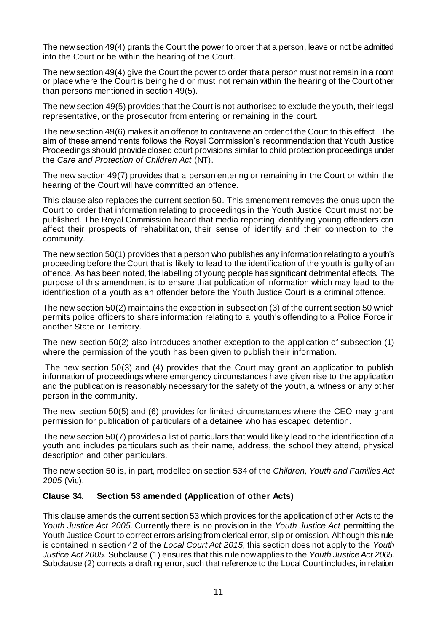The new section 49(4) grants the Court the power to order that a person, leave or not be admitted into the Court or be within the hearing of the Court.

The new section 49(4) give the Court the power to order that a person must not remain in a room or place where the Court is being held or must not remain within the hearing of the Court other than persons mentioned in section 49(5).

The new section 49(5) provides that the Court is not authorised to exclude the youth, their legal representative, or the prosecutor from entering or remaining in the court.

The new section 49(6) makes it an offence to contravene an order of the Court to this effect. The aim of these amendments follows the Royal Commission's recommendation that Youth Justice Proceedings should provide closed court provisions similar to child protection proceedings under the *Care and Protection of Children Act* (NT).

The new section 49(7) provides that a person entering or remaining in the Court or within the hearing of the Court will have committed an offence.

This clause also replaces the current section 50. This amendment removes the onus upon the Court to order that information relating to proceedings in the Youth Justice Court must not be published. The Royal Commission heard that media reporting identifying young offenders can affect their prospects of rehabilitation, their sense of identify and their connection to the community.

The new section 50(1) provides that a person who publishes any information relating to a youth's proceeding before the Court that is likely to lead to the identification of the youth is guilty of an offence. As has been noted, the labelling of young people has significant detrimental effects. The purpose of this amendment is to ensure that publication of information which may lead to the identification of a youth as an offender before the Youth Justice Court is a criminal offence.

The new section 50(2) maintains the exception in subsection (3) of the current section 50 which permits police officers to share information relating to a youth's offending to a Police Force in another State or Territory.

The new section 50(2) also introduces another exception to the application of subsection (1) where the permission of the youth has been given to publish their information.

The new section 50(3) and (4) provides that the Court may grant an application to publish information of proceedings where emergency circumstances have given rise to the application and the publication is reasonably necessary for the safety of the youth, a witness or any ot her person in the community.

The new section 50(5) and (6) provides for limited circumstances where the CEO may grant permission for publication of particulars of a detainee who has escaped detention.

The new section 50(7) provides a list of particulars that would likely lead to the identification of a youth and includes particulars such as their name, address, the school they attend, physical description and other particulars.

The new section 50 is, in part, modelled on section 534 of the *Children, Youth and Families Act 2005* (Vic).

#### **Clause 34. Section 53 amended (Application of other Acts)**

This clause amends the current section 53 which provides for the application of other Acts to the *Youth Justice Act 2005.* Currently there is no provision in the *Youth Justice Act* permitting the Youth Justice Court to correct errors arising from clerical error, slip or omission. Although this rule is contained in section 42 of the *Local Court Act 2015,* this section does not apply to the *Youth Justice Act 2005.* Subclause (1) ensures that this rule now applies to the *Youth Justice Act 2005*. Subclause (2) corrects a drafting error, such that reference to the Local Court includes, in relation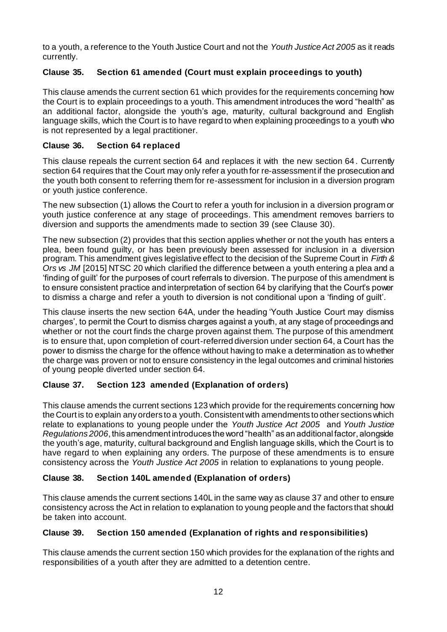to a youth, a reference to the Youth Justice Court and not the *Youth Justice Act 2005* as it reads currently.

# **Clause 35. Section 61 amended (Court must explain proceedings to youth)**

This clause amends the current section 61 which provides for the requirements concerning how the Court is to explain proceedings to a youth. This amendment introduces the word "health" as an additional factor, alongside the youth's age, maturity, cultural background and English language skills, which the Court is to have regard to when explaining proceedings to a youth who is not represented by a legal practitioner.

## **Clause 36. Section 64 replaced**

This clause repeals the current section 64 and replaces it with the new section 64. Currently section 64 requires that the Court may only refer a youth for re-assessment if the prosecution and the youth both consent to referring them for re-assessment for inclusion in a diversion program or youth justice conference.

The new subsection (1) allows the Court to refer a youth for inclusion in a diversion program or youth justice conference at any stage of proceedings. This amendment removes barriers to diversion and supports the amendments made to section 39 (see Clause 30).

The new subsection (2) provides that this section applies whether or not the youth has enters a plea, been found guilty, or has been previously been assessed for inclusion in a diversion program. This amendment gives legislative effect to the decision of the Supreme Court in *Firth & Ors vs JM* [2015] NTSC 20 which clarified the difference between a youth entering a plea and a 'finding of guilt' for the purposes of court referrals to diversion. The purpose of this amendment is to ensure consistent practice and interpretation of section 64 by clarifying that the Court's power to dismiss a charge and refer a youth to diversion is not conditional upon a 'finding of guilt'.

This clause inserts the new section 64A, under the heading 'Youth Justice Court may dismiss charges', to permit the Court to dismiss charges against a youth, at any stage of proceedings and whether or not the court finds the charge proven against them. The purpose of this amendment is to ensure that, upon completion of court-referred diversion under section 64, a Court has the power to dismiss the charge for the offence without having to make a determination as to whether the charge was proven or not to ensure consistency in the legal outcomes and criminal histories of young people diverted under section 64.

# **Clause 37. Section 123 amended (Explanation of orders)**

This clause amends the current sections 123 which provide for the requirements concerning how the Court is to explain any orders to a youth. Consistent with amendments to other sections which relate to explanations to young people under the *Youth Justice Act 2005* and *Youth Justice Regulations 2006*, this amendment introduces the word "health" as an additional factor, alongside the youth's age, maturity, cultural background and English language skills, which the Court is to have regard to when explaining any orders. The purpose of these amendments is to ensure consistency across the *Youth Justice Act 2005* in relation to explanations to young people.

# **Clause 38. Section 140L amended (Explanation of orders)**

This clause amends the current sections 140L in the same way as clause 37 and other to ensure consistency across the Act in relation to explanation to young people and the factors that should be taken into account.

# **Clause 39. Section 150 amended (Explanation of rights and responsibilities)**

This clause amends the current section 150 which provides for the explanation of the rights and responsibilities of a youth after they are admitted to a detention centre.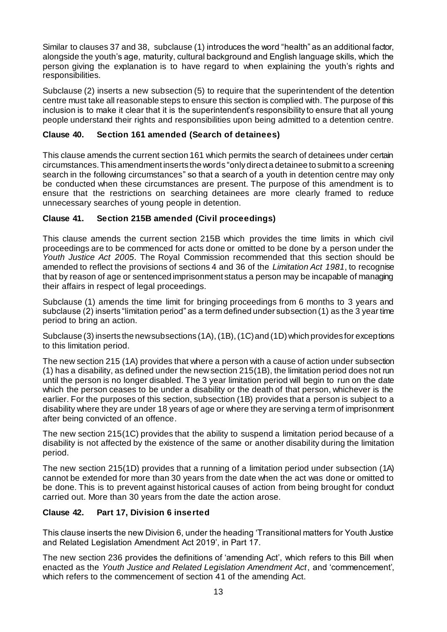Similar to clauses 37 and 38, subclause (1) introduces the word "health" as an additional factor, alongside the youth's age, maturity, cultural background and English language skills, which the person giving the explanation is to have regard to when explaining the youth's rights and responsibilities.

Subclause (2) inserts a new subsection (5) to require that the superintendent of the detention centre must take all reasonable steps to ensure this section is complied with. The purpose of this inclusion is to make it clear that it is the superintendent's responsibility to ensure that all young people understand their rights and responsibilities upon being admitted to a detention centre.

#### **Clause 40. Section 161 amended (Search of detainees)**

This clause amends the current section 161 which permits the search of detainees under certain circumstances. This amendment inserts the words "only direct a detainee to submit to a screening search in the following circumstances" so that a search of a youth in detention centre may only be conducted when these circumstances are present. The purpose of this amendment is to ensure that the restrictions on searching detainees are more clearly framed to reduce unnecessary searches of young people in detention.

# **Clause 41. Section 215B amended (Civil proceedings)**

This clause amends the current section 215B which provides the time limits in which civil proceedings are to be commenced for acts done or omitted to be done by a person under the *Youth Justice Act 2005*. The Royal Commission recommended that this section should be amended to reflect the provisions of sections 4 and 36 of the *Limitation Act 1981*, to recognise that by reason of age or sentenced imprisonment status a person may be incapable of managing their affairs in respect of legal proceedings.

Subclause (1) amends the time limit for bringing proceedings from 6 months to 3 years and subclause (2) inserts "limitation period" as a term defined under subsection (1) as the 3 year time period to bring an action.

Subclause (3) inserts the new subsections (1A), (1B), (1C) and (1D) which provides for exceptions to this limitation period.

The new section 215 (1A) provides that where a person with a cause of action under subsection (1) has a disability, as defined under the new section 215(1B), the limitation period does not run until the person is no longer disabled. The 3 year limitation period will begin to run on the date which the person ceases to be under a disability or the death of that person, whichever is the earlier. For the purposes of this section, subsection (1B) provides that a person is subject to a disability where they are under 18 years of age or where they are serving a term of imprisonment after being convicted of an offence.

The new section 215(1C) provides that the ability to suspend a limitation period because of a disability is not affected by the existence of the same or another disability during the limitation period.

The new section 215(1D) provides that a running of a limitation period under subsection (1A) cannot be extended for more than 30 years from the date when the act was done or omitted to be done. This is to prevent against historical causes of action from being brought for conduct carried out. More than 30 years from the date the action arose.

# **Clause 42. Part 17, Division 6 inserted**

This clause inserts the new Division 6, under the heading 'Transitional matters for Youth Justice and Related Legislation Amendment Act 2019', in Part 17.

The new section 236 provides the definitions of 'amending Act', which refers to this Bill when enacted as the *Youth Justice and Related Legislation Amendment Act*, and 'commencement', which refers to the commencement of section 41 of the amending Act.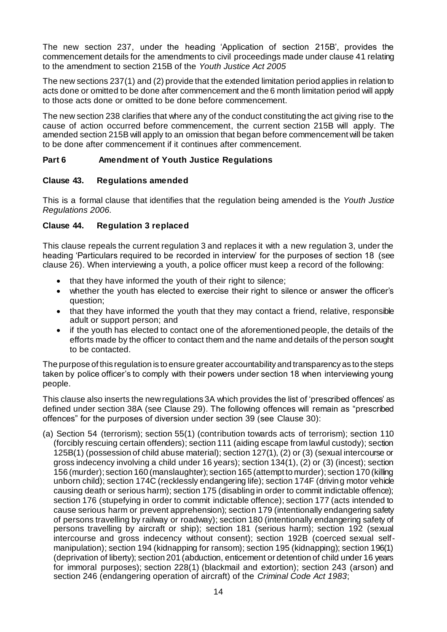The new section 237, under the heading 'Application of section 215B', provides the commencement details for the amendments to civil proceedings made under clause 41 relating to the amendment to section 215B of the *Youth Justice Act 2005*

The new sections 237(1) and (2) provide that the extended limitation period applies in relation to acts done or omitted to be done after commencement and the 6 month limitation period will apply to those acts done or omitted to be done before commencement.

The new section 238 clarifies that where any of the conduct constituting the act giving rise to the cause of action occurred before commencement, the current section 215B will apply. The amended section 215B will apply to an omission that began before commencement will be taken to be done after commencement if it continues after commencement.

#### **Part 6 Amendment of Youth Justice Regulations**

#### **Clause 43. Regulations amended**

This is a formal clause that identifies that the regulation being amended is the *Youth Justice Regulations 2006.* 

#### **Clause 44. Regulation 3 replaced**

This clause repeals the current regulation 3 and replaces it with a new regulation 3, under the heading 'Particulars required to be recorded in interview' for the purposes of section 18 (see clause 26). When interviewing a youth, a police officer must keep a record of the following:

- that they have informed the youth of their right to silence;
- whether the youth has elected to exercise their right to silence or answer the officer's question;
- that they have informed the youth that they may contact a friend, relative, responsible adult or support person; and
- if the youth has elected to contact one of the aforementioned people, the details of the efforts made by the officer to contact them and the name and details of the person sought to be contacted.

The purpose of this regulation is to ensure greater accountability and transparency as to the steps taken by police officer's to comply with their powers under section 18 when interviewing young people.

This clause also inserts the new regulations 3A which provides the list of 'prescribed offences' as defined under section 38A (see Clause 29). The following offences will remain as "prescribed offences" for the purposes of diversion under section 39 (see Clause 30):

(a) Section 54 (terrorism); section 55(1) (contribution towards acts of terrorism); section 110 (forcibly rescuing certain offenders); section 111 (aiding escape from lawful custody); section 125B(1) (possession of child abuse material); section 127(1), (2) or (3) (sexual intercourse or gross indecency involving a child under 16 years); section 134(1), (2) or (3) (incest); section 156 (murder); section 160 (manslaughter); section 165 (attempt to murder); section 170 (killing unborn child); section 174C (recklessly endangering life); section 174F (driving motor vehicle causing death or serious harm); section 175 (disabling in order to commit indictable offence); section 176 (stupefying in order to commit indictable offence); section 177 (acts intended to cause serious harm or prevent apprehension); section 179 (intentionally endangering safety of persons travelling by railway or roadway); section 180 (intentionally endangering safety of persons travelling by aircraft or ship); section 181 (serious harm); section 192 (sexual intercourse and gross indecency without consent); section 192B (coerced sexual selfmanipulation); section 194 (kidnapping for ransom); section 195 (kidnapping); section 196(1) (deprivation of liberty); section 201 (abduction, enticement or detention of child under 16 years for immoral purposes); section 228(1) (blackmail and extortion); section 243 (arson) and section 246 (endangering operation of aircraft) of the *Criminal Code Act 1983*;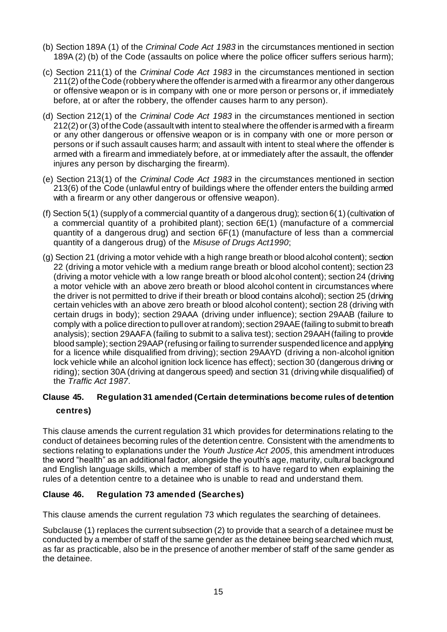- (b) Section 189A (1) of the *Criminal Code Act 1983* in the circumstances mentioned in section 189A (2) (b) of the Code (assaults on police where the police officer suffers serious harm);
- (c) Section 211(1) of the *Criminal Code Act 1983* in the circumstances mentioned in section 211(2) of the Code (robbery where the offender is armed with a firearm or any other dangerous or offensive weapon or is in company with one or more person or persons or, if immediately before, at or after the robbery, the offender causes harm to any person).
- (d) Section 212(1) of the *Criminal Code Act 1983* in the circumstances mentioned in section 212(2) or (3) of the Code (assault with intent to steal where the offender is armed with a firearm or any other dangerous or offensive weapon or is in company with one or more person or persons or if such assault causes harm; and assault with intent to steal where the offender is armed with a firearm and immediately before, at or immediately after the assault, the offender injures any person by discharging the firearm).
- (e) Section 213(1) of the *Criminal Code Act 1983* in the circumstances mentioned in section 213(6) of the Code (unlawful entry of buildings where the offender enters the building armed with a firearm or any other dangerous or offensive weapon).
- (f) Section 5(1) (supply of a commercial quantity of a dangerous drug); section 6(1) (cultivation of a commercial quantity of a prohibited plant); section 6E(1) (manufacture of a commercial quantity of a dangerous drug) and section 6F(1) (manufacture of less than a commercial quantity of a dangerous drug) of the *Misuse of Drugs Act1990*;
- (g) Section 21 (driving a motor vehicle with a high range breath or blood alcohol content); section 22 (driving a motor vehicle with a medium range breath or blood alcohol content); section 23 (driving a motor vehicle with a low range breath or blood alcohol content); section 24 (driving a motor vehicle with an above zero breath or blood alcohol content in circumstances where the driver is not permitted to drive if their breath or blood contains alcohol); section 25 (driving certain vehicles with an above zero breath or blood alcohol content); section 28 (driving with certain drugs in body); section 29AAA (driving under influence); section 29AAB (failure to comply with a police direction to pull over at random); section 29AAE (failing to submit to breath analysis); section 29AAFA (failing to submit to a saliva test); section 29AAH (failing to provide blood sample); section 29AAP (refusing or failing to surrender suspended licence and applying for a licence while disqualified from driving); section 29AAYD (driving a non-alcohol ignition lock vehicle while an alcohol ignition lock licence has effect); section 30 (dangerous driving or riding); section 30A (driving at dangerous speed) and section 31 (driving while disqualified) of the *Traffic Act 1987*.

# **Clause 45. Regulation 31 amended (Certain determinations become rules of detention centres)**

This clause amends the current regulation 31 which provides for determinations relating to the conduct of detainees becoming rules of the detention centre. Consistent with the amendments to sections relating to explanations under the *Youth Justice Act 2005*, this amendment introduces the word "health" as an additional factor, alongside the youth's age, maturity, cultural background and English language skills, which a member of staff is to have regard to when explaining the rules of a detention centre to a detainee who is unable to read and understand them.

#### **Clause 46. Regulation 73 amended (Searches)**

This clause amends the current regulation 73 which regulates the searching of detainees.

Subclause (1) replaces the current subsection (2) to provide that a search of a detainee must be conducted by a member of staff of the same gender as the detainee being searched which must, as far as practicable, also be in the presence of another member of staff of the same gender as the detainee.